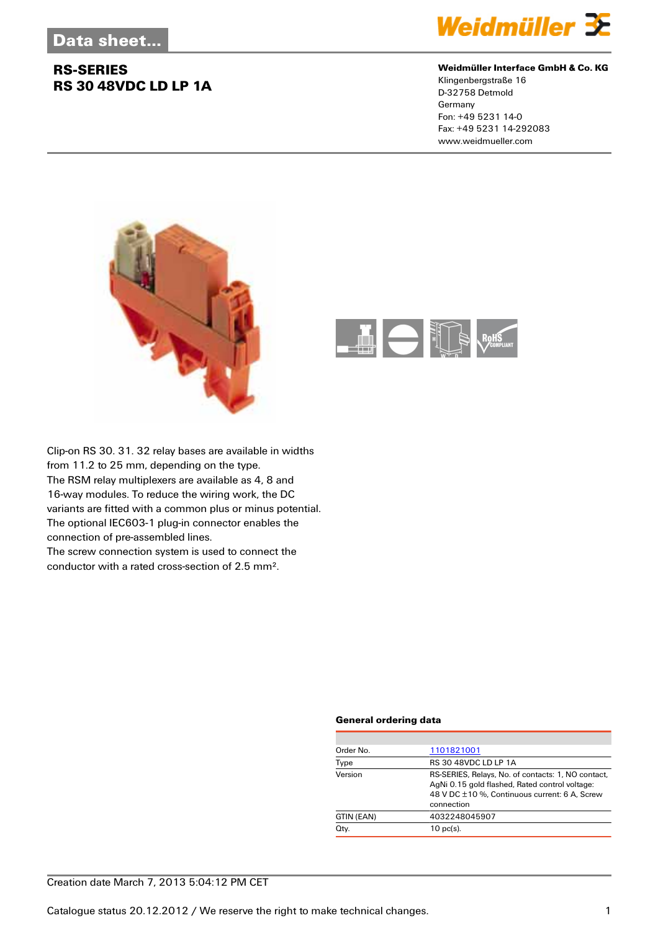## **RS-SERIES RS 30 48VDC LD LP 1A**



#### **Weidmüller Interface GmbH & Co. KG**

Klingenbergstraße 16 D-32758 Detmold Germany Fon: +49 5231 14-0 Fax: +49 5231 14-292083 www.weidmueller.com





Clip-on RS 30. 31. 32 relay bases are available in widths from 11.2 to 25 mm, depending on the type. The RSM relay multiplexers are available as 4, 8 and 16-way modules. To reduce the wiring work, the DC variants are fitted with a common plus or minus potential. The optional IEC603-1 plug-in connector enables the connection of pre-assembled lines.

The screw connection system is used to connect the conductor with a rated cross-section of 2.5 mm².

### **General ordering data**

| Order No.  | 1101821001                                                                                                                                                          |
|------------|---------------------------------------------------------------------------------------------------------------------------------------------------------------------|
| Type       | <b>RS 30 48VDC LD LP 1A</b>                                                                                                                                         |
| Version    | RS-SERIES, Relays, No. of contacts: 1, NO contact,<br>AgNi 0.15 gold flashed, Rated control voltage:<br>48 V DC ±10 %, Continuous current: 6 A, Screw<br>connection |
| GTIN (EAN) | 4032248045907                                                                                                                                                       |
| Qty.       | $10$ pc(s).                                                                                                                                                         |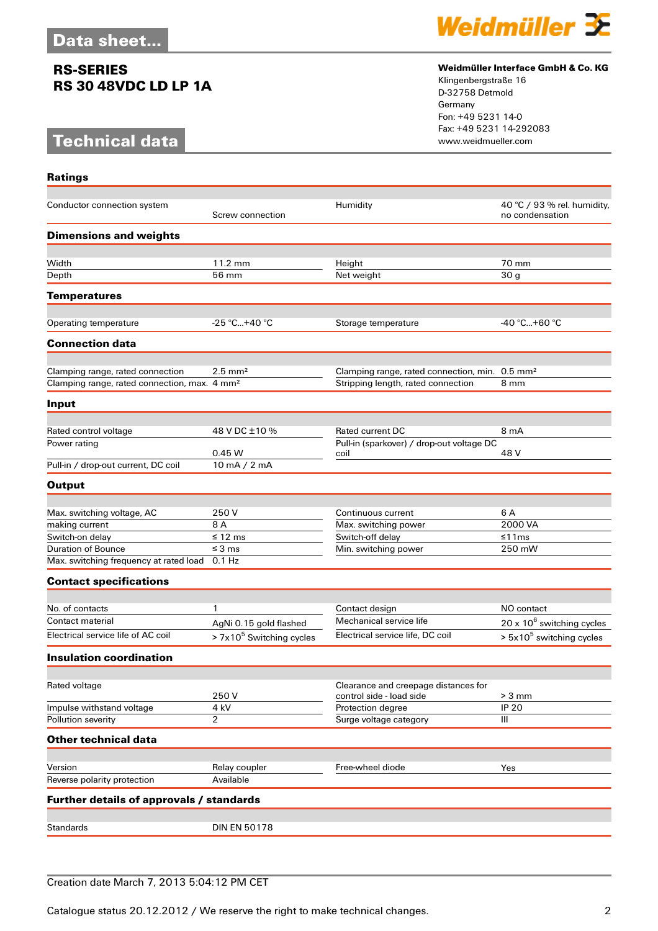### **RS-SERIES RS 30 48VDC LD LP 1A**

# **Technical data**

**Ratings**



### **Weidmüller Interface GmbH & Co. KG**

Klingenbergstraße 16 D-32758 Detmold Germany Fon: +49 5231 14-0 Fax: +49 5231 14-292083

| Conductor connection system                              | Screw connection                     | Humidity                                                         | 40 °C / 93 % rel. humidity,<br>no condensation |
|----------------------------------------------------------|--------------------------------------|------------------------------------------------------------------|------------------------------------------------|
| <b>Dimensions and weights</b>                            |                                      |                                                                  |                                                |
| Width                                                    | 11.2 mm                              | Height                                                           | 70 mm                                          |
| Depth                                                    | 56 mm                                | Net weight                                                       | 30 <sub>g</sub>                                |
|                                                          |                                      |                                                                  |                                                |
| <b>Temperatures</b>                                      |                                      |                                                                  |                                                |
| Operating temperature                                    | $-25$ °C+40 °C                       | Storage temperature                                              | -40 °C+60 °C                                   |
| <b>Connection data</b>                                   |                                      |                                                                  |                                                |
| Clamping range, rated connection                         | $2.5$ mm <sup>2</sup>                | Clamping range, rated connection, min. 0.5 mm <sup>2</sup>       |                                                |
| Clamping range, rated connection, max. 4 mm <sup>2</sup> |                                      | Stripping length, rated connection                               | 8 mm                                           |
| Input                                                    |                                      |                                                                  |                                                |
|                                                          |                                      |                                                                  |                                                |
| Rated control voltage                                    | 48 V DC ±10 %                        | <b>Rated current DC</b>                                          | 8 mA                                           |
| Power rating                                             | 0.45 W                               | Pull-in (sparkover) / drop-out voltage DC<br>coil                | 48 V                                           |
| Pull-in / drop-out current, DC coil                      | 10 mA / 2 mA                         |                                                                  |                                                |
| <b>Output</b>                                            |                                      |                                                                  |                                                |
|                                                          |                                      |                                                                  |                                                |
| Max. switching voltage, AC                               | 250V                                 | Continuous current                                               | 6 A                                            |
| making current                                           | 8 A                                  | Max. switching power                                             | 2000 VA                                        |
| Switch-on delay                                          | $\leq 12$ ms                         | Switch-off delay                                                 | ≤11 $ms$                                       |
| <b>Duration of Bounce</b>                                | $\leq$ 3 ms                          | Min. switching power                                             | 250 mW                                         |
| Max. switching frequency at rated load 0.1 Hz            |                                      |                                                                  |                                                |
| <b>Contact specifications</b>                            |                                      |                                                                  |                                                |
| No. of contacts                                          | $\mathbf{1}$                         | Contact design                                                   | NO contact                                     |
| Contact material                                         | AgNi 0.15 gold flashed               | Mechanical service life                                          | $20 \times 10^6$ switching cycles              |
| Electrical service life of AC coil                       | > 7x10 <sup>5</sup> Switching cycles | Electrical service life, DC coil                                 | > 5x10 <sup>5</sup> switching cycles           |
| <b>Insulation coordination</b>                           |                                      |                                                                  |                                                |
|                                                          |                                      |                                                                  |                                                |
| Rated voltage                                            | 250 V                                | Clearance and creepage distances for<br>control side - load side | $> 3$ mm                                       |
| Impulse withstand voltage                                | 4 kV                                 | Protection degree                                                | <b>IP 20</b>                                   |
| Pollution severity                                       | $\overline{2}$                       | Surge voltage category                                           | Ш                                              |
| <b>Other technical data</b>                              |                                      |                                                                  |                                                |
|                                                          |                                      |                                                                  |                                                |
| Version                                                  | Relay coupler                        | Free-wheel diode                                                 | Yes                                            |
| Reverse polarity protection                              | Available                            |                                                                  |                                                |
| Further details of approvals / standards                 |                                      |                                                                  |                                                |
|                                                          |                                      |                                                                  |                                                |
| Standards                                                | <b>DIN EN 50178</b>                  |                                                                  |                                                |

### Creation date March 7, 2013 5:04:12 PM CET